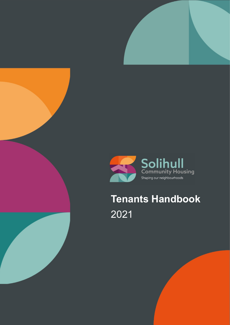

# **Tenants Handbook** 2021

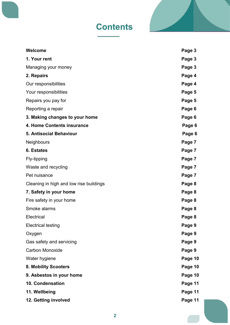# **Contents**

| <b>Welcome</b>                          | Page 3  |
|-----------------------------------------|---------|
| 1. Your rent                            | Page 3  |
| Managing your money                     | Page 3  |
| 2. Repairs                              | Page 4  |
| Our responsibilities                    | Page 4  |
| Your responsibilities                   | Page 5  |
| Repairs you pay for                     | Page 5  |
| Reporting a repair                      | Page 6  |
| 3. Making changes to your home          | Page 6  |
| 4. Home Contents insurance              | Page 6  |
| 5. Antisocial Behaviour                 | Page 6  |
| <b>Neighbours</b>                       | Page 7  |
| 6. Estates                              | Page 7  |
| Fly-tipping                             | Page 7  |
| Waste and recycling                     | Page 7  |
| Pet nuisance                            | Page 7  |
| Cleaning in high and low rise buildings | Page 8  |
| 7. Safety in your home                  | Page 8  |
| Fire safety in your home                | Page 8  |
| Smoke alarms                            | Page 8  |
| Electrical                              | Page 8  |
| <b>Electrical testing</b>               | Page 9  |
| Oxygen                                  | Page 9  |
| Gas safety and servicing                | Page 9  |
| <b>Carbon Monoxide</b>                  | Page 9  |
| Water hygiene                           | Page 10 |
| 8. Mobility Scooters                    | Page 10 |
| 9. Asbestos in your home                | Page 10 |
| 10. Condensation                        | Page 11 |
| 11. Wellbeing                           | Page 11 |
| 12. Getting involved                    | Page 11 |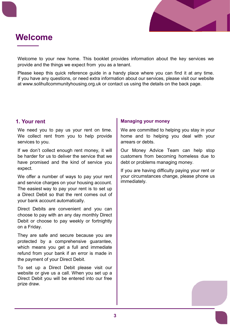

# **Welcome**

Welcome to your new home. This booklet provides information about the key services we provide and the things we expect from you as a tenant.

Please keep this quick reference guide in a handy place where you can find it at any time. If you have any questions, or need extra information about our services, please visit our website at www.solihullcommunityhousing.org.uk or contact us using the details on the back page.

## **1. Your rent**

We need you to pay us your rent on time. We collect rent from you to help provide services to you.

If we don't collect enough rent money, it will be harder for us to deliver the service that we have promised and the kind of service you expect.

We offer a number of ways to pay your rent and service charges on your housing account. The easiest way to pay your rent is to set up a Direct Debit so that the rent comes out of your bank account automatically.

Direct Debits are convenient and you can choose to pay with an any day monthly Direct Debit or choose to pay weekly or fortnightly on a Friday.

They are safe and secure because you are protected by a comprehensive guarantee, which means you get a full and immediate refund from your bank if an error is made in the payment of your Direct Debit.

To set up a Direct Debit please visit our website or give us a call. When you set up a Direct Debit you will be entered into our free prize draw.

#### **Managing your money**

We are committed to helping you stay in your home and to helping you deal with your arrears or debts.

Our Money Advice Team can help stop customers from becoming homeless due to debt or problems managing money.

If you are having difficulty paying your rent or your circumstances change, please phone us immediately.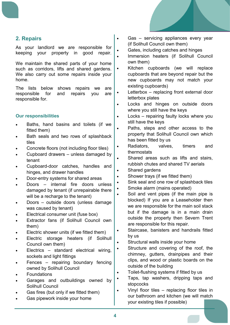# **2. Repairs**

As your landlord we are responsible for keeping your property in good repair.

We maintain the shared parts of your home such as corridors, lifts and shared gardens. We also carry out some repairs inside your home.

The lists below shows repairs we are responsible for and repairs you are responsible for.

#### **Our responsibilities**

- Baths, hand basins and toilets (if we fitted them)
- Bath seals and two rows of splashback tiles
- Concrete floors (not including floor tiles)
- Cupboard drawers unless damaged by tenant
- Cupboard-door catches, handles and hinges, and drawer handles
- Door-entry systems for shared areas
- Doors internal fire doors unless damaged by tenant (if unrepairable there will be a recharge to the tenant)
- Doors outside doors (unless damage was caused by tenant)
- Electrical consumer unit (fuse box)
- Extractor fans (if Solihull Council own them)
- Electric shower units (if we fitted them)
- Electric storage heaters (if Solihull Council own them)
- Electrics standard electrical wiring, sockets and light fittings
- Fences repairing boundary fencing owned by Solihull Council
- Foundations
- Garages and outbuildings owned by Solihull Council
- Gas fires (but only if we fitted them)
- Gas pipework inside your home
- Gas servicing appliances every year (if Solihull Council own them)
- Gates, including catches and hinges
- Immersion heaters (if Solihull Council own them)
- Kitchen cupboards (we will replace cupboards that are beyond repair but the new cupboards may not match your existing cupboards)
- Letterbox replacing front external door letterbox plates
- Locks and hinges on outside doors where you still have the keys
- Locks repairing faulty locks where you still have the keys
- Paths, steps and other access to the property that Solihull Council own which has been fitted by us
- Radiators, valves, timers and thermostats
- Shared areas such as lifts and stairs, rubbish chutes and shared TV aerials
- Shared gardens
- Shower trays (if we fitted them)
- Sink seal and one row of splashback tiles
- Smoke alarm (mains operated)
- Soil and vent pipes (if the main pipe is blocked) If you are a Leaseholder then we are responsible for the main soil stack but if the damage is in a main drain outside the property then Severn Trent are responsible for this repair.
- Staircase, banisters and handrails fitted by us
- Structural walls inside your home
- Structure and covering of the roof, the chimney, gutters, drainpipes and their clips, and wood or plastic boards on the outside of the building
- Toilet-flushing systems if fitted by us
- Taps, tap washers, dripping taps and stopcocks
- Vinyl floor tiles replacing floor tiles in our bathroom and kitchen (we will match your existing tiles if possible)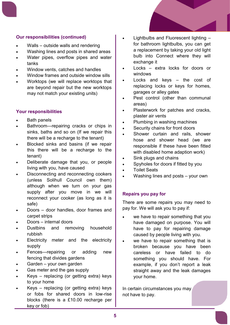#### **Our responsibilities (continued)**

- Walls outside walls and rendering
- Washing lines and posts in shared areas
- Water pipes, overflow pipes and water tanks
- Window vents, catches and handles
- Window frames and outside window sills
- Worktops (we will replace worktops that are beyond repair but the new worktops may not match your existing units)

#### **Your responsibilities**

- Bath panels
- Bathroom—repairing cracks or chips in sinks, baths and so on (If we repair this there will be a recharge to the tenant)
- Blocked sinks and basins (if we repair this there will be a recharge to the tenant)
- Deliberate damage that you, or people living with you, have caused
- Disconnecting and reconnecting cookers (unless Solihull Council own them) although when we turn on your gas supply after you move in we will reconnect your cooker (as long as it is safe)
- Doors door handles, door frames and carpet strips
- Doors internal doors
- Dustbins and removing household rubbish
- Electricity meter and the electricity supply
- Fences—repairing or adding new fencing that divides gardens
- Garden your own garden
- Gas meter and the gas supply
- Keys replacing (or getting extra) keys to your home
- Keys replacing (or getting extra) keys or fobs for shared doors in low-rise blocks (there is a £10.00 recharge per key or fob)
- Lightbulbs and Fluorescent lighting for bathroom lightbulbs, you can get a replacement by taking your old light bulb into Connect where they will exchange it
- Locks extra locks for doors or windows
- Locks and keys the cost of replacing locks or keys for homes, garages or alley gates
- Pest control (other than communal areas)
- Plasterwork for patches and cracks, plaster air vents
- Plumbing in washing machines
- Security chains for front doors
- Shower curtain and rails, shower hose and shower head (we are responsible if these have been fitted with disabled home adaption work)
- Sink plugs and chains
- Spyholes for doors if fitted by you
- Toilet Seats
- Washing lines and posts your own

#### **Repairs you pay for**

There are some repairs you may need to pay for. We will ask you to pay if:

- we have to repair something that you have damaged on purpose. You will have to pay for repairing damage caused by people living with you.
- we have to repair something that is broken because you have been careless or have failed to do something you should have. For example, if you don't report a leak straight away and the leak damages your home.

In certain circumstances you may not have to pay.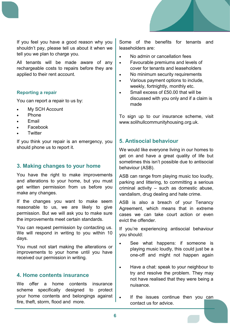If you feel you have a good reason why you shouldn't pay, please tell us about it when we tell you we plan to charge you.

All tenants will be made aware of any rechargeable costs to repairs before they are applied to their rent account.

#### **Reporting a repair**

You can report a repair to us by:

- My SCH Account
- Phone
- Email
- Facebook
- **Twitter**

If you think your repair is an emergency, you should phone us to report it.

#### **3. Making changes to your home**

You have the right to make improvements and alterations to your home, but you must get written permission from us before you make any changes.

If the changes you want to make seem reasonable to us, we are likely to give permission. But we will ask you to make sure the improvements meet certain standards.

You can request permission by contacting us. We will respond in writing to you within 10 days.

You must not start making the alterations or improvements to your home until you have received our permission in writing.

#### **4. Home contents insurance**

We offer a home contents insurance scheme specifically designed to protect your home contents and belongings against fire, theft, storm, flood and more.

Some of the benefits for tenants and leaseholders are:

- No admin or cancellation fees
- Favourable premiums and levels of cover for tenants and leaseholders
- No minimum security requirements
- Various payment options to include, weekly, fortnightly, monthly etc.
- Small excess of £50.00 that will be discussed with you only and if a claim is made

To sign up to our insurance scheme, visit www.solihullcommunityhousing.org.uk.

# **5. Antisocial behaviour**

We would like everyone living in our homes to get on and have a great quality of life but sometimes this isn't possible due to antisocial behaviour (ASB).

ASB can range from playing music too loudly, parking and littering, to committing a serious criminal activity – such as domestic abuse, vandalism, drug dealing and hate crime.

ASB is also a breach of your Tenancy Agreement, which means that in extreme cases we can take court action or even evict the offender.

If you're experiencing antisocial behaviour you should:

- See what happens: if someone is playing music loudly, this could just be a one-off and might not happen again
- Have a chat: speak to your neighbour to try and resolve the problem. They may not have realised that they were being a nuisance.
- If the issues continue then you can contact us for advice.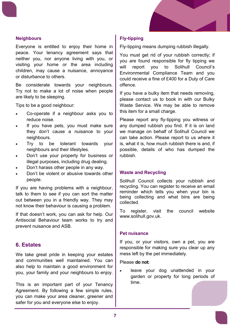

#### **Neighbours**

Everyone is entitled to enjoy their home in peace. Your tenancy agreement says that neither you, nor anyone living with you, or visiting your home or the area including children, may cause a nuisance, annoyance or disturbance to others.

Be considerate towards your neighbours. Try not to make a lot of noise when people are likely to be sleeping.

Tips to be a good neighbour:

- Co-operate if a neighbour asks you to reduce noise.
- If you have pets, you must make sure they don't cause a nuisance to your neighbours.
- Try to be tolerant towards your neighbours and their lifestyles.
- Don't use your property for business or illegal purposes, including drug dealing.
- Don't harass other people in any way.
- Don't be violent or abusive towards other people.

If you are having problems with a neighbour, talk to them to see if you can sort the matter out between you in a friendly way. They may not know their behaviour is causing a problem.

If that doesn't work, you can ask for help. Our Antisocial Behaviour team works to try and prevent nuisance and ASB.

#### **6. Estates**

We take great pride in keeping your estates and communities well maintained. You can also help to maintain a good environment for you, your family and your neighbours to enjoy.

This is an important part of your Tenancy Agreement. By following a few simple rules, you can make your area cleaner, greener and safer for you and everyone else to enjoy.

#### **Fly-tipping**

Fly-tipping means dumping rubbish illegally.

You must get rid of your rubbish correctly; if you are found responsible for fly tipping we will report you to Solihull Council's Environmental Compliance Team and you could receive a fine of £400 for a Duty of Care offence.

If you have a bulky item that needs removing, please contact us to book in with our Bulky Waste Service. We may be able to remove this item for a small charge.

Please report any fly-tipping you witness or any dumped rubbish you find. If it is on land we manage on behalf of Solihull Council we can take action. Please report to us where it is, what it is, how much rubbish there is and, if possible, details of who has dumped the rubbish.

#### **Waste and Recycling**

Solihull Council collects your rubbish and recycling. You can register to receive an email reminder which tells you when your bin is being collecting and what bins are being collected.

To register, visit the council website www.solihull.gov.uk.

#### **Pet nuisance**

If you, or your visitors, own a pet, you are responsible for making sure you clear up any mess left by the pet immediately.

Please **do not:**

 leave your dog unattended in your garden or property for long periods of time.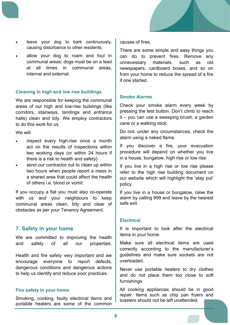

- leave your dog to bark continuously, causing disturbance to other residents.
- allow your dog to roam and foul in communal areas; dogs must be on a lead at all times in communal areas, internal and external.

#### **Cleaning in high and low rise buildings**

We are responsible for keeping the communal areas of our high and low-rise buildings (like corridors, stairways, landings and entrance halls) clean and tidy. We employ contractors to do this work for us.

We will:

- inspect every high-rise once a month act on the results of inspections within two working days (or within 24 hours if there is a risk to health and safety)
- send our contractor out to clean up within two hours when people report a mess in a shared area that could affect the health of others i.e. blood or vomit.

If you occupy a flat you must also co-operate with us and your neighbours to keep communal areas clean, tidy and clear of obstacles as per your Tenancy Agreement.

#### **7. Safety in your home**

We are committed to improving the health and safety of all our properties.

Health and fire safety very important and we encourage everyone to report defects, dangerous conditions and dangerous actions to help us identify and reduce poor practices.

#### **Fire safety in your home**

Smoking, cooking, faulty electrical items and portable heaters are some of the common causes of fires.

There are some simple and easy things you can do to prevent fires. Remove any unnecessary materials, such as old newspapers, cardboard boxes, and so on from your home to reduce the spread of a fire if one started.

#### **Smoke Alarms**

Check your smoke alarm every week by pressing the test button. Don't climb to reach it – you can use a sweeping brush, a garden cane or a walking stick.

Do not, under any circumstances, check the alarm using a naked flame.

If you discover a fire, your evacuation procedure will depend on whether you live in a house, bungalow, high rise or low rise.

If you live in a high rise or low rise please refer to the high rise building document on our website which will highlight the 'stay put' policy.

If you live in a house or bungalow, raise the alarm by calling 999 and leave by the nearest safe exit.

#### **Electrical**

It is important to look after the electrical items in your home.

Make sure all electrical items are used correctly according to the manufacturer's guidelines and make sure sockets are not overloaded.

Never use portable heaters to dry clothes and do not place them too close to soft furnishings

All cooking appliances should be in good repair. Items such as chip pan fryers and toasters should not be left unattended.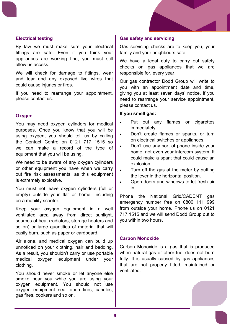#### **Electrical testing**

By law we must make sure your electrical fittings are safe. Even if you think your appliances are working fine, you must still allow us access.

We will check for damage to fittings, wear and tear and any exposed live wires that could cause injuries or fires.

If you need to rearrange your appointment, please contact us.

#### **Oxygen**

You may need oxygen cylinders for medical purposes. Once you know that you will be using oxygen, you should tell us by calling the Contact Centre on 0121 717 1515 so we can make a record of the type of equipment that you will be using.

We need to be aware of any oxygen cylinders or other equipment you have when we carry out fire risk assessments, as this equipment is extremely explosive.

You must not leave oxygen cylinders (full or empty) outside your flat or home, including on a mobility scooter.

Keep your oxygen equipment in a well ventilated area away from direct sunlight, sources of heat (radiators, storage heaters and so on) or large quantities of material that will easily burn, such as paper or cardboard.

Air alone, and medical oxygen can build up unnoticed on your clothing, hair and bedding. As a result, you shouldn't carry or use portable medical oxygen equipment under your clothing.

You should never smoke or let anyone else smoke near you while you are using your oxygen equipment. You should not use oxygen equipment near open fires, candles, gas fires, cookers and so on.

#### **Gas safety and servicing**

Gas servicing checks are to keep you, your family and your neighbours safe.

We have a legal duty to carry out safety checks on gas appliances that we are responsible for, every year.

Our gas contractor Dodd Group will write to you with an appointment date and time, giving you at least seven days' notice. If you need to rearrange your service appointment, please contact us.

#### **If you smell gas:**

- Put out any flames or cigarettes immediately.
- Don't create flames or sparks, or turn on electrical switches or appliances.
- Don't use any sort of phone inside your home, not even your intercom system. It could make a spark that could cause an explosion.
- Turn off the gas at the meter by putting the lever in the horizontal position.
- Open doors and windows to let fresh air in.

Phone the National Grid/CADENT gas emergency number free on 0800 111 999 from outside your home. Phone us on 0121 717 1515 and we will send Dodd Group out to you within two hours.

#### **Carbon Monoxide**

Carbon Monoxide is a gas that is produced when natural gas or other fuel does not burn fully. It is usually caused by gas appliances that are not properly fitted, maintained or ventilated.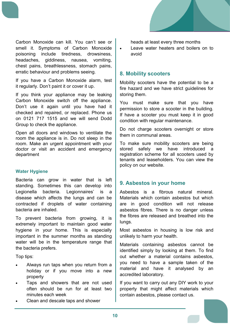Carbon Monoxide can kill. You can't see or smell it. Symptoms of Carbon Monoxide poisoning include tiredness, drowsiness, headaches, giddiness, nausea, vomiting, chest pains, breathlessness, stomach pains, erratic behaviour and problems seeing.

If you have a Carbon Monoxide alarm, test it regularly. Don't paint it or cover it up.

If you think your appliance may be leaking Carbon Monoxide switch off the appliance. Don't use it again until you have had it checked and repaired, or replaced. Phone us on 0121 717 1515 and we will send Dodd Group to check the appliance.

Open all doors and windows to ventilate the room the appliance is in. Do not sleep in the room. Make an urgent appointment with your doctor or visit an accident and emergency department

#### **Water Hygiene**

Bacteria can grow in water that is left standing. Sometimes this can develop into Legionella bacteria. Legionnaires' is a disease which affects the lungs and can be contracted if droplets of water containing bacteria are inhaled.

To prevent bacteria from growing, it is extremely important to maintain good water hygiene in your home. This is especially important in the summer months as standing water will be in the temperature range that the bacteria prefers.

Top tips:

- Always run taps when you return from a holiday or if you move into a new property
- Taps and showers that are not used often should be run for at least two minutes each week
- Clean and descale taps and shower

heads at least every three months

 Leave water heaters and boilers on to avoid

#### **8. Mobility scooters**

Mobility scooters have the potential to be a fire hazard and we have strict guidelines for storing them.

You must make sure that you have permission to store a scooter in the building. If have a scooter you must keep it in good condition with regular maintenance.

Do not charge scooters overnight or store them in communal areas.

To make sure mobility scooters are being stored safely we have introduced a registration scheme for all scooters used by tenants and leaseholders. You can view the policy on our website.

## **9. Asbestos in your home**

Asbestos is a fibrous natural mineral. Materials which contain asbestos but which are in good condition will not release asbestos fibres. There is no danger unless the fibres are released and breathed into the lungs.

Most asbestos in housing is low risk and unlikely to harm your health.

Materials containing asbestos cannot be identified simply by looking at them. To find out whether a material contains asbestos, you need to have a sample taken of the material and have it analysed by an accredited laboratory.

If you want to carry out any DIY work to your property that might affect materials which contain asbestos, please contact us.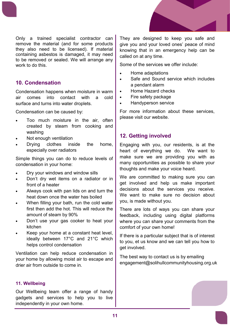

Only a trained specialist contractor can remove the material (and for some products they also need to be licensed). If material containing asbestos is damaged, it may need to be removed or sealed. We will arrange any work to do this.

### **10. Condensation**

Condensation happens when moisture in warm air comes into contact with a cold surface and turns into water droplets.

Condensation can be caused by:

- Too much moisture in the air, often created by steam from cooking and washing
- Not enough ventilation
- Drying clothes inside the home, especially over radiators

Simple things you can do to reduce levels of condensation in your home:

- Dry your windows and window sills
- Don't dry wet items on a radiator or in front of a heater
- Always cook with pan lids on and turn the heat down once the water has boiled
- When filling your bath, run the cold water first then add the hot. This will reduce the amount of steam by 90%
- Don't use your gas cooker to heat your kitchen
- Keep your home at a constant heat level, ideally between 17°C and 21°C which helps control condensation

Ventilation can help reduce condensation in your home by allowing moist air to escape and drier air from outside to come in.

#### **11. Wellbeing**

Our Wellbeing team offer a range of handy gadgets and services to help you to live independently in your own home.

They are designed to keep you safe and give you and your loved ones' peace of mind knowing that in an emergency help can be called on at any time.

Some of the services we offer include:

- Home adaptations
- Safe and Sound service which includes a pendant alarm
- Home Hazard checks
- Fire safety package
- Handyperson service

For more information about these services, please visit our website.

## **12. Getting involved**

Engaging with you, our residents, is at the heart of everything we do. We want to make sure we are providing you with as many opportunities as possible to share your thoughts and make your voice heard.

We are committed to making sure you can get involved and help us make important decisions about the services you receive. We want to make sure no decision about you, is made without you.

There are lots of ways you can share your feedback, including using digital platforms where you can share your comments from the comfort of your own home!

If there is a particular subject that is of interest to you, et us know and we can tell you how to get involved.

The best way to contact us is by emailing engagement@solihullcommunityhousing.org.uk